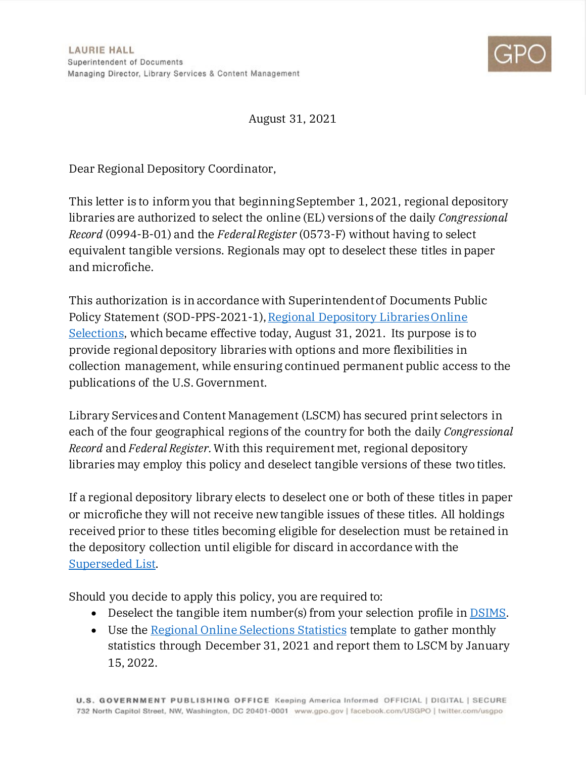

August 31, 2021

Dear Regional Depository Coordinator,

This letter is to inform you that beginning September 1, 2021, regional depository libraries are authorized to select the online (EL) versions of the daily *Congressional Record* (0994-B-01) and the *Federal Register* (0573-F) without having to select equivalent tangible versions. Regionals may opt to deselect these titles in paper and microfiche.

This authorization is in accordance with Superintendent of Documents Public Policy Statement (SOD-PPS-2021-1)[, Regional Depository Libraries Online](https://www.fdlp.gov/file-repository/about-the-fdlp/superintendent-of-documents-policy-statements/4894-regional-depository-libraries-online-selections-sod-pps-2021-1)  [Selections,](https://www.fdlp.gov/file-repository/about-the-fdlp/superintendent-of-documents-policy-statements/4894-regional-depository-libraries-online-selections-sod-pps-2021-1) which became effective today, August 31, 2021. Its purpose is to provide regional depository libraries with options and more flexibilities in collection management, while ensuring continued permanent public access to the publications of the U.S. Government.

Library Services and Content Management (LSCM) has secured print selectors in each of the four geographical regions of the country for both the daily *Congressional Record* and *Federal Register.*With this requirement met, regional depository libraries may employ this policy and deselect tangible versions of these two titles.

If a regional depository library elects to deselect one or both of these titles in paper or microfiche they will not receive new tangible issues of these titles. All holdings received prior to these titles becoming eligible for deselection must be retained in the depository collection until eligible for discard in accordance with the [Superseded List.](https://www.fdlp.gov/file-repository/historical-publications/superseded-list-and-guidelines)

Should you decide to apply this policy, you are required to:

- Deselect the tangible item number(s) from your selection profile in **DSIMS**.
- Use the [Regional Online Selections Statistics](https://www.fdlp.gov/file-repository/about-the-fdlp/regional-depositories/4881-regional-online-selections-tracking-statistics-template/file) template to gather monthly statistics through December 31, 2021 and report them to LSCM by January 15, 2022.